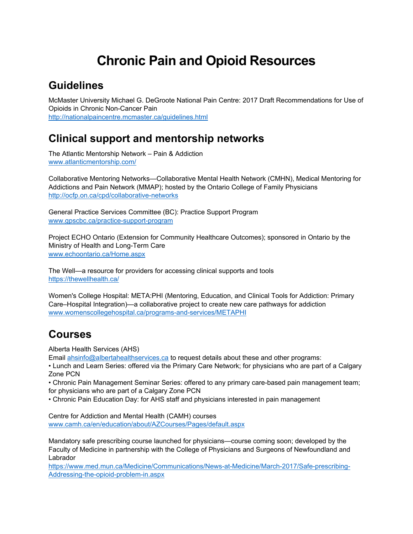# **Chronic Pain and Opioid Resources**

### **Guidelines**

McMaster University Michael G. DeGroote National Pain Centre: 2017 Draft Recommendations for Use of Opioids in Chronic Non-Cancer Pain <http://nationalpaincentre.mcmaster.ca/guidelines.html>

### **Clinical support and mentorship networks**

The Atlantic Mentorship Network – Pain & Addiction <www.atlanticmentorship.com>/

Collaborative Mentoring Networks—Collaborative Mental Health Network (CMHN), Medical Mentoring for Addictions and Pain Network (MMAP); hosted by the Ontario College of Family Physicians <http://ocfp.on.ca/cpd/collaborative-networks>

General Practice Services Committee (BC): Practice Support Program <www.gpscbc.ca/practice-support-program>

Project ECHO Ontario (Extension for Community Healthcare Outcomes); sponsored in Ontario by the Ministry of Health and Long-Term Care <www.echoontario.ca/Home.aspx>

The Well—a resource for providers for accessing clinical supports and tools [https://thewellhealth.ca/](https://thewellhealth.ca)

Women's College Hospital: META:PHI (Mentoring, Education, and Clinical Tools for Addiction: Primary Care–Hospital Integration)—a collaborative project to create new care pathways for addiction <www.womenscollegehospital.ca/programs-and-services/METAPHI>

## **Courses**

Alberta Health Services (AHS)

Email [ahsinfo@albertahealthservices.ca](mailto:ahsinfo@albertahealthservices.ca) to request details about these and other programs:

• Lunch and Learn Series: offered via the Primary Care Network; for physicians who are part of a Calgary Zone PCN

• Chronic Pain Management Seminar Series: offered to any primary care-based pain management team; for physicians who are part of a Calgary Zone PCN

• Chronic Pain Education Day: for AHS staff and physicians interested in pain management

Centre for Addiction and Mental Health (CAMH) courses <www.camh.ca/en/education/about/AZCourses/Pages/default.aspx>

Mandatory safe prescribing course launched for physicians—course coming soon; developed by the Faculty of Medicine in partnership with the College of Physicians and Surgeons of Newfoundland and Labrador

<https://www.med.mun.ca/Medicine/Communications/News-at-Medicine/March-2017/Safe-prescribing>-Addressing-the-opioid-problem-in.aspx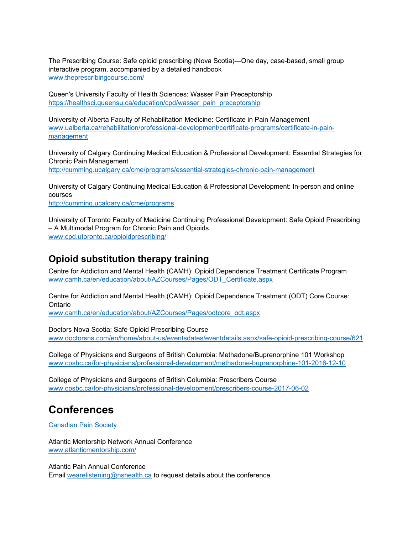The Prescribing Course: Safe opioid prescribing (Nova Scotia)—One day, case-based, small group interactive program, accompanied by a detailed handbook [www.theprescribingcourse.com/](www.theprescribingcourse.com)

Queen's University Faculty of Health Sciences: Wasser Pain Preceptorship [https://healthsci.queensu.ca/education/cpd/wasser\\_pain\\_preceptorship](https://healthsci.queensu.ca/education/cpd/wasser_pain_preceptorship)

University of Alberta Faculty of Rehabilitation Medicine: Certificate in Pain Management <www.ualberta.ca/rehabilitation/professional-development/certificate-programs/certificate-in-pain>management

University of Calgary Continuing Medical Education & Professional Development: Essential Strategies for Chronic Pain Management <http://cumming.ucalgary.ca/cme/programs/essential-strategies-chronic-pain-management>

University of Calgary Continuing Medical Education & Professional Development: In-person and online courses <http://cumming.ucalgary.ca/cme/programs>

University of Toronto Faculty of Medicine Continuing Professional Development: Safe Opioid Prescribing – A Multimodal Program for Chronic Pain and Opioids [www.cpd.utoronto.ca/opioidprescribing/](www.cpd.utoronto.ca/opioidprescribing)

#### **Opioid substitution therapy training**

Centre for Addiction and Mental Health (CAMH): Opioid Dependence Treatment Certificate Program [www.camh.ca/en/education/about/AZCourses/Pages/ODT\\_Certificate.aspx](www.camh.ca/en/education/about/AZCourses/Pages/ODT_Certificate.aspx)

Centre for Addiction and Mental Health (CAMH): Opioid Dependence Treatment (ODT) Core Course: Ontario

[www.camh.ca/en/education/about/AZCourses/Pages/odtcore\\_odt.aspx](www.camh.ca/en/education/about/AZCourses/Pages/odtcore_odt.aspx)

Doctors Nova Scotia: Safe Opioid Prescribing Course <www.doctorsns.com/en/home/about-us/eventsdates/eventdetails.aspx/safe-opioid-prescribing-course/621>

College of Physicians and Surgeons of British Columbia: Methadone/Buprenorphine 101 Workshop <www.cpsbc.ca/for-physicians/professional-development/methadone-buprenorphine-101-2016-12-10>

College of Physicians and Surgeons of British Columbia: Prescribers Course <www.cpsbc.ca/for-physicians/professional-development/prescribers-course-2017-06-02>

### **Conferences**

Canadian Pain Society

Atlantic Mentorship Network Annual Conference <www.atlanticmentorship.com>/

Atlantic Pain Annual Conference

Email [wearelistening@nshealth.ca](mailto:wearelistening@nshealth.ca) to request details about the conference